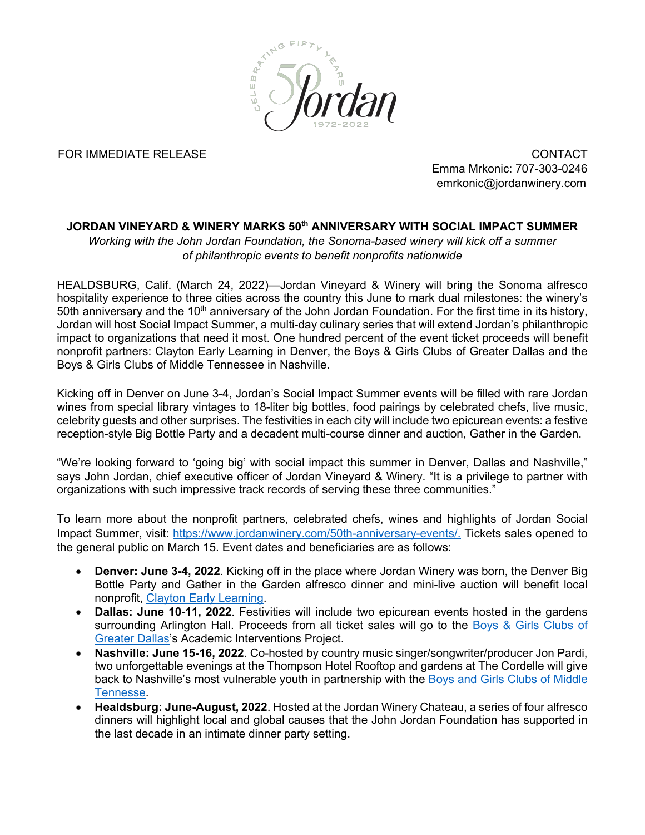

FOR IMMEDIATE RELEASE CONTACT

Emma Mrkonic: 707-303-0246 emrkonic@jordanwinery.com

## **JORDAN VINEYARD & WINERY MARKS 50th ANNIVERSARY WITH SOCIAL IMPACT SUMMER**

*Working with the John Jordan Foundation, the Sonoma-based winery will kick off a summer of philanthropic events to benefit nonprofits nationwide* 

HEALDSBURG, Calif. (March 24, 2022)—Jordan Vineyard & Winery will bring the Sonoma alfresco hospitality experience to three cities across the country this June to mark dual milestones: the winery's 50th anniversary and the 10<sup>th</sup> anniversary of the John Jordan Foundation. For the first time in its history, Jordan will host Social Impact Summer, a multi-day culinary series that will extend Jordan's philanthropic impact to organizations that need it most. One hundred percent of the event ticket proceeds will benefit nonprofit partners: Clayton Early Learning in Denver, the Boys & Girls Clubs of Greater Dallas and the Boys & Girls Clubs of Middle Tennessee in Nashville.

Kicking off in Denver on June 3-4, Jordan's Social Impact Summer events will be filled with rare Jordan wines from special library vintages to 18-liter big bottles, food pairings by celebrated chefs, live music, celebrity guests and other surprises. The festivities in each city will include two epicurean events: a festive reception-style Big Bottle Party and a decadent multi-course dinner and auction, Gather in the Garden.

"We're looking forward to 'going big' with social impact this summer in Denver, Dallas and Nashville," says John Jordan, chief executive officer of Jordan Vineyard & Winery. "It is a privilege to partner with organizations with such impressive track records of serving these three communities."

To learn more about the nonprofit partners, celebrated chefs, wines and highlights of Jordan Social Impact Summer, visit: https://www.jordanwinery.com/50th-anniversary-events/. Tickets sales opened to the general public on March 15. Event dates and beneficiaries are as follows:

- **Denver: June 3-4, 2022**. Kicking off in the place where Jordan Winery was born, the Denver Big Bottle Party and Gather in the Garden alfresco dinner and mini-live auction will benefit local nonprofit, Clayton Early Learning.
- **Dallas: June 10-11, 2022**. Festivities will include two epicurean events hosted in the gardens surrounding Arlington Hall. Proceeds from all ticket sales will go to the Boys & Girls Clubs of Greater Dallas's Academic Interventions Project.
- **Nashville: June 15-16, 2022**. Co-hosted by country music singer/songwriter/producer Jon Pardi, two unforgettable evenings at the Thompson Hotel Rooftop and gardens at The Cordelle will give back to Nashville's most vulnerable youth in partnership with the Boys and Girls Clubs of Middle Tennesse.
- **Healdsburg: June-August, 2022**. Hosted at the Jordan Winery Chateau, a series of four alfresco dinners will highlight local and global causes that the John Jordan Foundation has supported in the last decade in an intimate dinner party setting.